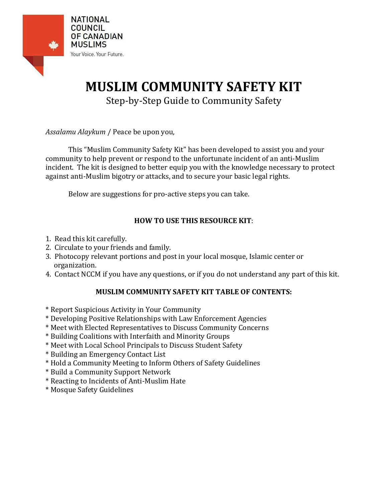

# **MUSLIM COMMUNITY SAFETY KIT**

Step-by-Step Guide to Community Safety

*Assalamu Alaykum* / Peace be upon you,

This "Muslim Community Safety Kit" has been developed to assist you and your community to help prevent or respond to the unfortunate incident of an anti-Muslim incident. The kit is designed to better equip you with the knowledge necessary to protect against anti-Muslim bigotry or attacks, and to secure your basic legal rights.

Below are suggestions for pro-active steps you can take.

# **HOW TO USE THIS RESOURCE KIT**:

- 1. Read this kit carefully.
- 2. Circulate to your friends and family.
- 3. Photocopy relevant portions and post in your local mosque, Islamic center or organization.
- 4. Contact NCCM if you have any questions, or if you do not understand any part of this kit.

# **MUSLIM COMMUNITY SAFETY KIT TABLE OF CONTENTS:**

- \* Report Suspicious Activity in Your Community
- \* Developing Positive Relationships with Law Enforcement Agencies
- \* Meet with Elected Representatives to Discuss Community Concerns
- \* Building Coalitions with Interfaith and Minority Groups
- \* Meet with Local School Principals to Discuss Student Safety
- \* Building an Emergency Contact List
- \* Hold a Community Meeting to Inform Others of Safety Guidelines
- \* Build a Community Support Network
- \* Reacting to Incidents of Anti-Muslim Hate
- \* Mosque Safety Guidelines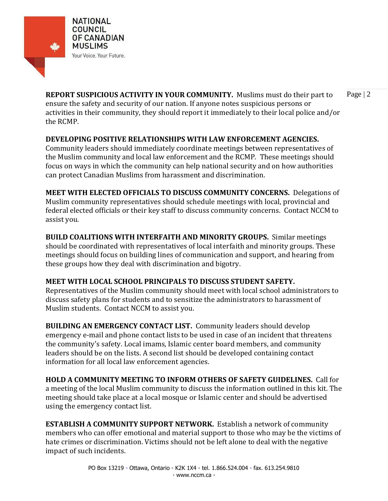

**REPORT SUSPICIOUS ACTIVITY IN YOUR COMMUNITY.** Muslims must do their part to Page | 2 ensure the safety and security of our nation. If anyone notes suspicious persons or activities in their community, they should report it immediately to their local police and/or the RCMP.

#### **DEVELOPING POSITIVE RELATIONSHIPS WITH LAW ENFORCEMENT AGENCIES.**

Community leaders should immediately coordinate meetings between representatives of the Muslim community and local law enforcement and the RCMP. These meetings should focus on ways in which the community can help national security and on how authorities can protect Canadian Muslims from harassment and discrimination.

**MEET WITH ELECTED OFFICIALS TO DISCUSS COMMUNITY CONCERNS.** Delegations of Muslim community representatives should schedule meetings with local, provincial and federal elected officials or their key staff to discuss community concerns. Contact NCCM to assist you.

**BUILD COALITIONS WITH INTERFAITH AND MINORITY GROUPS.** Similar meetings should be coordinated with representatives of local interfaith and minority groups. These meetings should focus on building lines of communication and support, and hearing from these groups how they deal with discrimination and bigotry.

# **MEET WITH LOCAL SCHOOL PRINCIPALS TO DISCUSS STUDENT SAFETY.**

Representatives of the Muslim community should meet with local school administrators to discuss safety plans for students and to sensitize the administrators to harassment of Muslim students. Contact NCCM to assist you.

**BUILDING AN EMERGENCY CONTACT LIST.** Community leaders should develop emergency e-mail and phone contact lists to be used in case of an incident that threatens the community's safety. Local imams, Islamic center board members, and community leaders should be on the lists. A second list should be developed containing contact information for all local law enforcement agencies.

**HOLD A COMMUNITY MEETING TO INFORM OTHERS OF SAFETY GUIDELINES.** Call for a meeting of the local Muslim community to discuss the information outlined in this kit. The meeting should take place at a local mosque or Islamic center and should be advertised using the emergency contact list.

**ESTABLISH A COMMUNITY SUPPORT NETWORK.** Establish a network of community members who can offer emotional and material support to those who may be the victims of hate crimes or discrimination. Victims should not be left alone to deal with the negative impact of such incidents.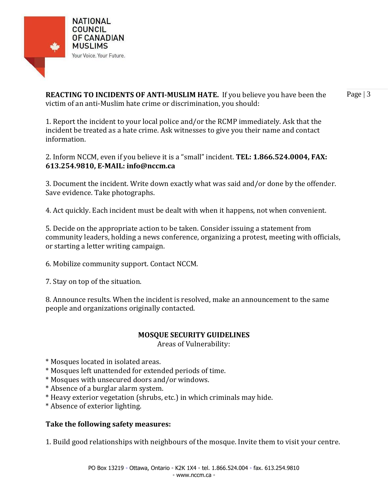

**REACTING TO INCIDENTS OF ANTI-MUSLIM HATE.** If you believe you have been the Page | 3 victim of an anti-Muslim hate crime or discrimination, you should:

1. Report the incident to your local police and/or the RCMP immediately. Ask that the incident be treated as a hate crime. Ask witnesses to give you their name and contact information.

2. Inform NCCM, even if you believe it is a "small" incident. **TEL: 1.866.524.0004, FAX: 613.254.9810, E-MAIL: info@nccm.ca**

3. Document the incident. Write down exactly what was said and/or done by the offender. Save evidence. Take photographs.

4. Act quickly. Each incident must be dealt with when it happens, not when convenient.

5. Decide on the appropriate action to be taken. Consider issuing a statement from community leaders, holding a news conference, organizing a protest, meeting with officials, or starting a letter writing campaign.

6. Mobilize community support. Contact NCCM.

7. Stay on top of the situation.

8. Announce results. When the incident is resolved, make an announcement to the same people and organizations originally contacted.

#### **MOSQUE SECURITY GUIDELINES**

Areas of Vulnerability:

\* Mosques located in isolated areas.

- \* Mosques left unattended for extended periods of time.
- \* Mosques with unsecured doors and/or windows.
- \* Absence of a burglar alarm system.
- \* Heavy exterior vegetation (shrubs, etc.) in which criminals may hide.
- \* Absence of exterior lighting.

# **Take the following safety measures:**

1. Build good relationships with neighbours of the mosque. Invite them to visit your centre.